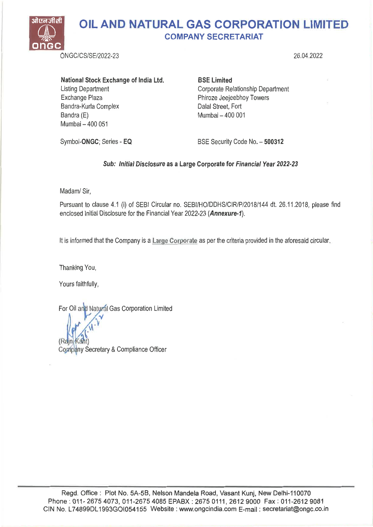

National Stock Exchange of India Ltd. Listing Department Exchange Plaza Bandra-Kurla Complex Bandra (E) Mumbai — 400 051

BSE Limited Corporate Relationship Department Phiroze Jeejeebhoy Towers Dalai Street, Fort Mumbai — 400 001

Symbol-ONGC; Series - EQ

BSE Security Code No. — 500312

## Sub: Initial Disclosure as a Large Corporate for Financial Year 2022-23

Madam/ Sir,

Pursuant to clause 4.1 (i) of SEBI Circular no. SEBI/HO/DDHS/CIR/P/2018/144 dt. 26.11.2018, please find enclosed Initial Disclosure for the Financial Year 2022-23 (Annexure-1).

It is informed that the Company is a Large Corporate as per the criteria provided in the aforesaid circular.

Thanking You,

Yours faithfully,

For Oil arid Natural Gas Corporation Limited

(Rajn Kant) Company Secretary & Compliance Officer